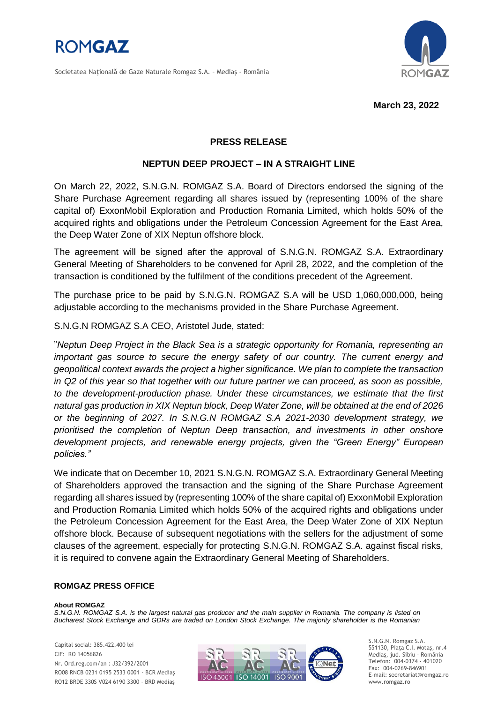

Societatea Naţională de Gaze Naturale Romgaz S.A. – Mediaş - România



**March 23, 2022**

## **PRESS RELEASE**

## **NEPTUN DEEP PROJECT – IN A STRAIGHT LINE**

On March 22, 2022, S.N.G.N. ROMGAZ S.A. Board of Directors endorsed the signing of the Share Purchase Agreement regarding all shares issued by (representing 100% of the share capital of) ExxonMobil Exploration and Production Romania Limited, which holds 50% of the acquired rights and obligations under the Petroleum Concession Agreement for the East Area, the Deep Water Zone of XIX Neptun offshore block.

The agreement will be signed after the approval of S.N.G.N. ROMGAZ S.A. Extraordinary General Meeting of Shareholders to be convened for April 28, 2022, and the completion of the transaction is conditioned by the fulfilment of the conditions precedent of the Agreement.

The purchase price to be paid by S.N.G.N. ROMGAZ S.A will be USD 1,060,000,000, being adjustable according to the mechanisms provided in the Share Purchase Agreement.

S.N.G.N ROMGAZ S.A CEO, Aristotel Jude, stated:

"*Neptun Deep Project in the Black Sea is a strategic opportunity for Romania, representing an important gas source to secure the energy safety of our country. The current energy and geopolitical context awards the project a higher significance. We plan to complete the transaction in Q2 of this year so that together with our future partner we can proceed, as soon as possible, to the development-production phase. Under these circumstances, we estimate that the first natural gas production in XIX Neptun block, Deep Water Zone, will be obtained at the end of 2026 or the beginning of 2027. In S.N.G.N ROMGAZ S.A 2021-2030 development strategy, we prioritised the completion of Neptun Deep transaction, and investments in other onshore development projects, and renewable energy projects, given the "Green Energy" European policies."*

We indicate that on December 10, 2021 S.N.G.N. ROMGAZ S.A. Extraordinary General Meeting of Shareholders approved the transaction and the signing of the Share Purchase Agreement regarding all shares issued by (representing 100% of the share capital of) ExxonMobil Exploration and Production Romania Limited which holds 50% of the acquired rights and obligations under the Petroleum Concession Agreement for the East Area, the Deep Water Zone of XIX Neptun offshore block. Because of subsequent negotiations with the sellers for the adjustment of some clauses of the agreement, especially for protecting S.N.G.N. ROMGAZ S.A. against fiscal risks, it is required to convene again the Extraordinary General Meeting of Shareholders.

## **ROMGAZ PRESS OFFICE**

## **About ROMGAZ**

S.N.G.N. ROMGAZ S.A. is the largest natural gas producer and the main supplier in Romania. The company is listed on *Bucharest Stock Exchange and GDRs are traded on London Stock Exchange. The majority shareholder is the Romanian* 

Capital social: 385.422.400 lei CIF: RO 14056826 Nr. Ord.reg.com/an : J32/392/2001 RO08 RNCB 0231 0195 2533 0001 - BCR Mediaş RO12 BRDE 330S V024 6190 3300 - BRD Mediaş



S.N.G.N. Romgaz S.A. 551130, Piața C.I. Motaş, nr.4 Mediaş, jud. Sibiu - România Telefon: 004-0374 - 401020 Fax: 004-0269-846901 E-mail: secretariat@romgaz.ro www.romgaz.ro